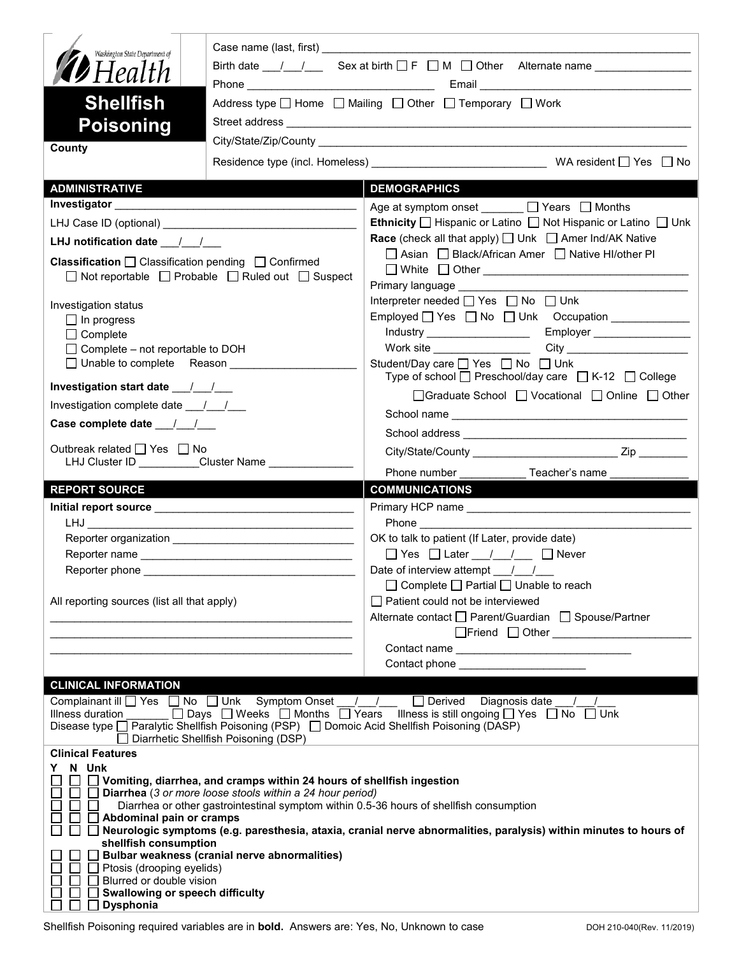| Washington State Department of<br><b>D</b> Health<br><b>Shellfish</b><br><b>Poisoning</b>                                                                  | Birth date $\frac{1}{\sqrt{2}}$ Sex at birth $\Box$ F $\Box$ M $\Box$ Other Alternate name $\Box$<br>Address type $\Box$ Home $\Box$ Mailing $\Box$ Other $\Box$ Temporary $\Box$ Work            |                                                                                                                                                                                                                                                                                               |  |
|------------------------------------------------------------------------------------------------------------------------------------------------------------|---------------------------------------------------------------------------------------------------------------------------------------------------------------------------------------------------|-----------------------------------------------------------------------------------------------------------------------------------------------------------------------------------------------------------------------------------------------------------------------------------------------|--|
| County                                                                                                                                                     |                                                                                                                                                                                                   |                                                                                                                                                                                                                                                                                               |  |
|                                                                                                                                                            |                                                                                                                                                                                                   |                                                                                                                                                                                                                                                                                               |  |
| <b>ADMINISTRATIVE</b>                                                                                                                                      |                                                                                                                                                                                                   | <b>DEMOGRAPHICS</b>                                                                                                                                                                                                                                                                           |  |
|                                                                                                                                                            |                                                                                                                                                                                                   | Age at symptom onset _______ □ Years □ Months                                                                                                                                                                                                                                                 |  |
|                                                                                                                                                            |                                                                                                                                                                                                   | <b>Ethnicity</b> $\Box$ Hispanic or Latino $\Box$ Not Hispanic or Latino $\Box$ Unk                                                                                                                                                                                                           |  |
| LHJ notification date $\frac{1}{2}$                                                                                                                        |                                                                                                                                                                                                   | <b>Race</b> (check all that apply) $\Box$ Unk $\Box$ Amer Ind/AK Native                                                                                                                                                                                                                       |  |
| <b>Classification</b> $\Box$ Classification pending $\Box$ Confirmed<br>□ Not reportable □ Probable □ Ruled out □ Suspect                                  |                                                                                                                                                                                                   | □ Asian □ Black/African Amer □ Native HI/other PI<br>□ White □ Other <u>___________________________________</u>                                                                                                                                                                               |  |
| Investigation status<br>$\Box$ In progress<br>$\Box$ Complete<br>$\Box$ Complete – not reportable to DOH                                                   |                                                                                                                                                                                                   | Interpreter needed [ Yes   No   Unk<br>Employed T Yes T No T Unk Occupation The Manuscription Manuscription Manuscription Manuscription Manuscription<br>Work site __________________                                                                                                         |  |
| □ Unable to complete Reason                                                                                                                                |                                                                                                                                                                                                   | Student/Day care □ Yes □ No □ Unk<br>Type of school $\Box$ Preschool/day care $\Box$ K-12 $\Box$ College                                                                                                                                                                                      |  |
|                                                                                                                                                            |                                                                                                                                                                                                   | □Graduate School □ Vocational □ Online □ Other                                                                                                                                                                                                                                                |  |
| Investigation complete date ___/___/___                                                                                                                    |                                                                                                                                                                                                   |                                                                                                                                                                                                                                                                                               |  |
| Case complete date __/_/__/                                                                                                                                |                                                                                                                                                                                                   |                                                                                                                                                                                                                                                                                               |  |
| Outbreak related □ Yes □ No<br>LHJ Cluster ID _________Cluster Name __________                                                                             |                                                                                                                                                                                                   |                                                                                                                                                                                                                                                                                               |  |
|                                                                                                                                                            |                                                                                                                                                                                                   |                                                                                                                                                                                                                                                                                               |  |
|                                                                                                                                                            |                                                                                                                                                                                                   | Phone number<br>Teacher's name                                                                                                                                                                                                                                                                |  |
| <b>REPORT SOURCE</b>                                                                                                                                       |                                                                                                                                                                                                   | <b>COMMUNICATIONS</b>                                                                                                                                                                                                                                                                         |  |
|                                                                                                                                                            |                                                                                                                                                                                                   |                                                                                                                                                                                                                                                                                               |  |
|                                                                                                                                                            |                                                                                                                                                                                                   | OK to talk to patient (If Later, provide date)                                                                                                                                                                                                                                                |  |
|                                                                                                                                                            |                                                                                                                                                                                                   | $\Box$ Yes $\Box$ Later $\frac{1}{\Box}$ $\Box$ Never                                                                                                                                                                                                                                         |  |
| Reporter phone __________                                                                                                                                  |                                                                                                                                                                                                   | Date of interview attempt $\frac{1}{\sqrt{2}}$                                                                                                                                                                                                                                                |  |
|                                                                                                                                                            |                                                                                                                                                                                                   | $\Box$ Complete $\Box$ Partial $\Box$ Unable to reach                                                                                                                                                                                                                                         |  |
| All reporting sources (list all that apply)                                                                                                                |                                                                                                                                                                                                   | $\Box$ Patient could not be interviewed                                                                                                                                                                                                                                                       |  |
|                                                                                                                                                            |                                                                                                                                                                                                   | Alternate contact<br>□ Parent/Guardian<br>□ Spouse/Partner                                                                                                                                                                                                                                    |  |
|                                                                                                                                                            |                                                                                                                                                                                                   |                                                                                                                                                                                                                                                                                               |  |
|                                                                                                                                                            |                                                                                                                                                                                                   | Contact phone ________________________                                                                                                                                                                                                                                                        |  |
| <b>CLINICAL INFORMATION</b>                                                                                                                                | $\Box$ Diarrhetic Shellfish Poisoning (DSP)                                                                                                                                                       | Complainant ill TYes TNo TUnk Symptom Onset / / TDerived Diagnosis date / /<br>Illness duration ______ [ ] Days [ ] Weeks [ ] Months [ ] Years Illness is still ongoing [ ] Yes [ ] No [ ] Unk<br>Disease type □ Paralytic Shellfish Poisoning (PSP) □ Domoic Acid Shellfish Poisoning (DASP) |  |
| <b>Clinical Features</b>                                                                                                                                   |                                                                                                                                                                                                   |                                                                                                                                                                                                                                                                                               |  |
| Y N Unk<br>$\Box$ Abdominal pain or cramps<br>$\mathsf{L}$<br>shellfish consumption<br>$\Box$ Ptosis (drooping eyelids)<br>$\Box$ Blurred or double vision | $\Box$ Vomiting, diarrhea, and cramps within 24 hours of shellfish ingestion<br>$\Box$ Diarrhea (3 or more loose stools within a 24 hour period)<br>Bulbar weakness (cranial nerve abnormalities) | Diarrhea or other gastrointestinal symptom within 0.5-36 hours of shellfish consumption<br>□ Neurologic symptoms (e.g. paresthesia, ataxia, cranial nerve abnormalities, paralysis) within minutes to hours of                                                                                |  |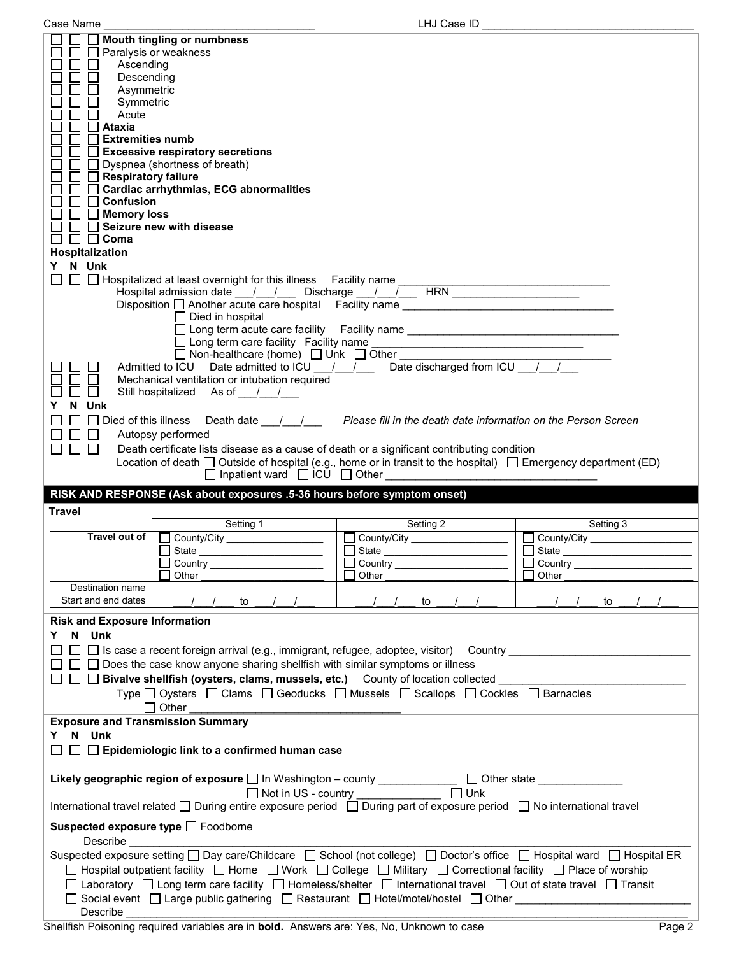| Case Name                                                                                                                                                                                             | LHJ Case ID                                                                             |                                |  |  |
|-------------------------------------------------------------------------------------------------------------------------------------------------------------------------------------------------------|-----------------------------------------------------------------------------------------|--------------------------------|--|--|
| <b>Mouth tingling or numbness</b>                                                                                                                                                                     |                                                                                         |                                |  |  |
| $\Box$<br>Paralysis or weakness                                                                                                                                                                       |                                                                                         |                                |  |  |
| Ascending                                                                                                                                                                                             |                                                                                         |                                |  |  |
| Descending                                                                                                                                                                                            |                                                                                         |                                |  |  |
| Asymmetric                                                                                                                                                                                            |                                                                                         |                                |  |  |
| Symmetric                                                                                                                                                                                             |                                                                                         |                                |  |  |
| Acute                                                                                                                                                                                                 |                                                                                         |                                |  |  |
| $\Box$ Ataxia                                                                                                                                                                                         |                                                                                         |                                |  |  |
| $\mathsf{L}$<br><b>Extremities numb</b>                                                                                                                                                               |                                                                                         |                                |  |  |
| Excessive respiratory secretions                                                                                                                                                                      |                                                                                         |                                |  |  |
| $\Box$ Dyspnea (shortness of breath)                                                                                                                                                                  |                                                                                         |                                |  |  |
| Respiratory failure                                                                                                                                                                                   |                                                                                         |                                |  |  |
| □ Cardiac arrhythmias, ECG abnormalities                                                                                                                                                              |                                                                                         |                                |  |  |
| $\Box$ Confusion                                                                                                                                                                                      |                                                                                         |                                |  |  |
| $\Box$ Memory loss                                                                                                                                                                                    |                                                                                         |                                |  |  |
| Seizure new with disease                                                                                                                                                                              |                                                                                         |                                |  |  |
| $\Box$ Coma<br>$\Box$                                                                                                                                                                                 |                                                                                         |                                |  |  |
| Hospitalization                                                                                                                                                                                       |                                                                                         |                                |  |  |
| N Unk<br>Y.                                                                                                                                                                                           |                                                                                         |                                |  |  |
| $\Box$                                                                                                                                                                                                |                                                                                         |                                |  |  |
|                                                                                                                                                                                                       |                                                                                         |                                |  |  |
| Disposition □ Another acute care hospital Facility name ________________________                                                                                                                      |                                                                                         |                                |  |  |
| $\Box$ Died in hospital                                                                                                                                                                               |                                                                                         |                                |  |  |
|                                                                                                                                                                                                       | □ Long term acute care facility Facility name __________________________________        |                                |  |  |
|                                                                                                                                                                                                       |                                                                                         |                                |  |  |
| □ Non-healthcare (home) □ Unk □ Other _                                                                                                                                                               |                                                                                         |                                |  |  |
| Admitted to ICU Date admitted to ICU / / / Date discharged from ICU / /                                                                                                                               |                                                                                         |                                |  |  |
| Mechanical ventilation or intubation required                                                                                                                                                         |                                                                                         |                                |  |  |
| Still hospitalized As of / /<br>$\mathsf{L}$                                                                                                                                                          |                                                                                         |                                |  |  |
| N Unk                                                                                                                                                                                                 |                                                                                         |                                |  |  |
| Υ                                                                                                                                                                                                     |                                                                                         |                                |  |  |
| $\Box$ Died of this illness                                                                                                                                                                           | Death date <u>Janual Please fill</u> in the death date information on the Person Screen |                                |  |  |
| $\perp$<br>Autopsy performed                                                                                                                                                                          |                                                                                         |                                |  |  |
| П<br>$\Box$ $\Box$<br>Death certificate lists disease as a cause of death or a significant contributing condition                                                                                     |                                                                                         |                                |  |  |
|                                                                                                                                                                                                       |                                                                                         |                                |  |  |
|                                                                                                                                                                                                       |                                                                                         |                                |  |  |
| Location of death $\Box$ Outside of hospital (e.g., home or in transit to the hospital) $\Box$ Emergency department (ED)                                                                              |                                                                                         |                                |  |  |
| $\Box$ Inpatient ward $\Box$ ICU $\Box$ Other                                                                                                                                                         |                                                                                         |                                |  |  |
| RISK AND RESPONSE (Ask about exposures .5-36 hours before symptom onset)                                                                                                                              |                                                                                         |                                |  |  |
| <b>Travel</b>                                                                                                                                                                                         |                                                                                         |                                |  |  |
|                                                                                                                                                                                                       | Setting 2                                                                               | Setting 3                      |  |  |
| Setting 1                                                                                                                                                                                             |                                                                                         |                                |  |  |
|                                                                                                                                                                                                       | County/City _________________                                                           | County/City __________________ |  |  |
|                                                                                                                                                                                                       |                                                                                         | $\Box$<br>State                |  |  |
| □ Country <u>________________</u><br>Other                                                                                                                                                            | □ Country <u>________________</u><br>Other                                              | Other                          |  |  |
| Destination name                                                                                                                                                                                      |                                                                                         |                                |  |  |
|                                                                                                                                                                                                       |                                                                                         |                                |  |  |
| Start and end dates<br>to                                                                                                                                                                             | to                                                                                      | to                             |  |  |
| <b>Risk and Exposure Information</b>                                                                                                                                                                  |                                                                                         |                                |  |  |
| N Unk<br>Y.                                                                                                                                                                                           |                                                                                         |                                |  |  |
|                                                                                                                                                                                                       |                                                                                         |                                |  |  |
| □ □ Is case a recent foreign arrival (e.g., immigrant, refugee, adoptee, visitor) Country ____________________                                                                                        |                                                                                         |                                |  |  |
| $\Box$ Does the case know anyone sharing shellfish with similar symptoms or illness                                                                                                                   |                                                                                         |                                |  |  |
| $\Box$ $\Box$ Bivalve shellfish (oysters, clams, mussels, etc.) $\quad$ County of location collected $\quad \Box$                                                                                     |                                                                                         |                                |  |  |
| Type □ Oysters □ Clams □ Geoducks □ Mussels □ Scallops □ Cockles □ Barnacles                                                                                                                          |                                                                                         |                                |  |  |
| $\Box$ Other<br>the control of the control of the control of the control of the control of                                                                                                            |                                                                                         |                                |  |  |
| <b>Exposure and Transmission Summary</b>                                                                                                                                                              |                                                                                         |                                |  |  |
| Y N Unk                                                                                                                                                                                               |                                                                                         |                                |  |  |
|                                                                                                                                                                                                       |                                                                                         |                                |  |  |
| $\Box$ Epidemiologic link to a confirmed human case                                                                                                                                                   |                                                                                         |                                |  |  |
|                                                                                                                                                                                                       |                                                                                         |                                |  |  |
| Likely geographic region of exposure   In Washington - county ____________                                                                                                                            |                                                                                         | □ Other state ______________   |  |  |
|                                                                                                                                                                                                       | $\Box$ Unk<br>□ Not in US - country _____________                                       |                                |  |  |
| International travel related □ During entire exposure period □ During part of exposure period □ No international travel                                                                               |                                                                                         |                                |  |  |
|                                                                                                                                                                                                       |                                                                                         |                                |  |  |
| Suspected exposure type [ Foodborne                                                                                                                                                                   |                                                                                         |                                |  |  |
| <b>Describe Example 20</b>                                                                                                                                                                            |                                                                                         |                                |  |  |
| Suspected exposure setting □ Day care/Childcare □ School (not college) □ Doctor's office □ Hospital ward □ Hospital ER                                                                                |                                                                                         |                                |  |  |
| □ Hospital outpatient facility □ Home □ Work □ College □ Military □ Correctional facility □ Place of worship                                                                                          |                                                                                         |                                |  |  |
|                                                                                                                                                                                                       |                                                                                         |                                |  |  |
| □ Laboratory □ Long term care facility □ Homeless/shelter □ International travel □ Out of state travel □ Transit<br>□ Social event □ Large public gathering □ Restaurant □ Hotel/motel/hostel □ Other |                                                                                         |                                |  |  |